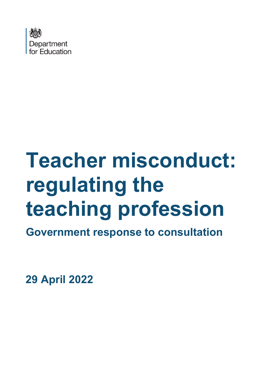

# **Teacher misconduct: regulating the teaching profession**

**Government response to consultation**

**29 April 2022**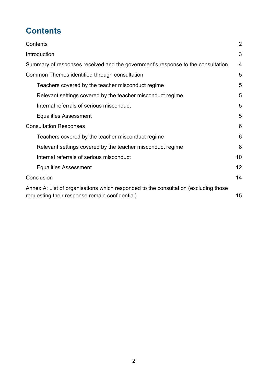# <span id="page-1-0"></span>**Contents**

| Contents                                                                                                                              | 2              |
|---------------------------------------------------------------------------------------------------------------------------------------|----------------|
| Introduction                                                                                                                          | 3              |
| Summary of responses received and the government's response to the consultation                                                       | $\overline{4}$ |
| Common Themes identified through consultation                                                                                         | 5              |
| Teachers covered by the teacher misconduct regime                                                                                     | 5              |
| Relevant settings covered by the teacher misconduct regime                                                                            | 5              |
| Internal referrals of serious misconduct                                                                                              | 5              |
| <b>Equalities Assessment</b>                                                                                                          | 5              |
| <b>Consultation Responses</b>                                                                                                         | 6              |
| Teachers covered by the teacher misconduct regime                                                                                     | 6              |
| Relevant settings covered by the teacher misconduct regime                                                                            | 8              |
| Internal referrals of serious misconduct                                                                                              | 10             |
| <b>Equalities Assessment</b>                                                                                                          | 12             |
| Conclusion                                                                                                                            | 14             |
| Annex A: List of organisations which responded to the consultation (excluding those<br>requesting their response remain confidential) | 15             |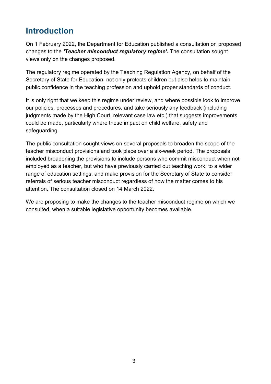# <span id="page-2-0"></span>**Introduction**

On 1 February 2022, the Department for Education published a consultation on proposed changes to the *'Teacher misconduct regulatory regime'.* The consultation sought views only on the changes proposed.

The regulatory regime operated by the Teaching Regulation Agency, on behalf of the Secretary of State for Education, not only protects children but also helps to maintain public confidence in the teaching profession and uphold proper standards of conduct.

It is only right that we keep this regime under review, and where possible look to improve our policies, processes and procedures, and take seriously any feedback (including judgments made by the High Court, relevant case law etc.) that suggests improvements could be made, particularly where these impact on child welfare, safety and safeguarding.

The public consultation sought views on several proposals to broaden the scope of the teacher misconduct provisions and took place over a six-week period. The proposals included broadening the provisions to include persons who commit misconduct when not employed as a teacher, but who have previously carried out teaching work; to a wider range of education settings; and make provision for the Secretary of State to consider referrals of serious teacher misconduct regardless of how the matter comes to his attention. The consultation closed on 14 March 2022.

We are proposing to make the changes to the teacher misconduct regime on which we consulted, when a suitable legislative opportunity becomes available.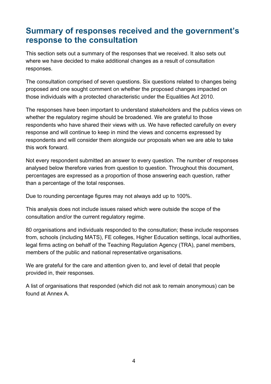# <span id="page-3-0"></span>**Summary of responses received and the government's response to the consultation**

This section sets out a summary of the responses that we received. It also sets out where we have decided to make additional changes as a result of consultation responses.

The consultation comprised of seven questions. Six questions related to changes being proposed and one sought comment on whether the proposed changes impacted on those individuals with a protected characteristic under the Equalities Act 2010.

The responses have been important to understand stakeholders and the publics views on whether the regulatory regime should be broadened. We are grateful to those respondents who have shared their views with us. We have reflected carefully on every response and will continue to keep in mind the views and concerns expressed by respondents and will consider them alongside our proposals when we are able to take this work forward.

Not every respondent submitted an answer to every question. The number of responses analysed below therefore varies from question to question. Throughout this document, percentages are expressed as a proportion of those answering each question, rather than a percentage of the total responses.

Due to rounding percentage figures may not always add up to 100%.

This analysis does not include issues raised which were outside the scope of the consultation and/or the current regulatory regime.

80 organisations and individuals responded to the consultation; these include responses from, schools (including MATS), FE colleges, Higher Education settings, local authorities, legal firms acting on behalf of the Teaching Regulation Agency (TRA), panel members, members of the public and national representative organisations.

We are grateful for the care and attention given to, and level of detail that people provided in, their responses.

A list of organisations that responded (which did not ask to remain anonymous) can be found at Annex A.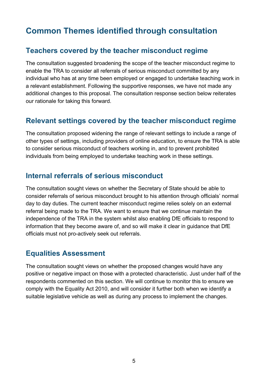# <span id="page-4-0"></span>**Common Themes identified through consultation**

## <span id="page-4-1"></span>**Teachers covered by the teacher misconduct regime**

The consultation suggested broadening the scope of the teacher misconduct regime to enable the TRA to consider all referrals of serious misconduct committed by any individual who has at any time been employed or engaged to undertake teaching work in a relevant establishment. Following the supportive responses, we have not made any additional changes to this proposal. The consultation response section below reiterates our rationale for taking this forward.

## <span id="page-4-2"></span>**Relevant settings covered by the teacher misconduct regime**

The consultation proposed widening the range of relevant settings to include a range of other types of settings, including providers of online education, to ensure the TRA is able to consider serious misconduct of teachers working in, and to prevent prohibited individuals from being employed to undertake teaching work in these settings.

## <span id="page-4-3"></span>**Internal referrals of serious misconduct**

The consultation sought views on whether the Secretary of State should be able to consider referrals of serious misconduct brought to his attention through officials' normal day to day duties. The current teacher misconduct regime relies solely on an external referral being made to the TRA. We want to ensure that we continue maintain the independence of the TRA in the system whilst also enabling DfE officials to respond to information that they become aware of, and so will make it clear in guidance that DfE officials must not pro-actively seek out referrals.

## <span id="page-4-4"></span>**Equalities Assessment**

The consultation sought views on whether the proposed changes would have any positive or negative impact on those with a protected characteristic. Just under half of the respondents commented on this section. We will continue to monitor this to ensure we comply with the Equality Act 2010, and will consider it further both when we identify a suitable legislative vehicle as well as during any process to implement the changes.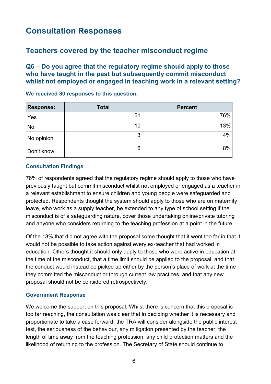# <span id="page-5-0"></span>**Consultation Responses**

## <span id="page-5-1"></span>**Teachers covered by the teacher misconduct regime**

**Q6 – Do you agree that the regulatory regime should apply to those who have taught in the past but subsequently commit misconduct whilst not employed or engaged in teaching work in a relevant setting?** 

| <b>Response:</b> | <b>Total</b> | <b>Percent</b> |
|------------------|--------------|----------------|
| Yes              | 61           | 76%            |
| No               | 10           | 13%            |
| No opinion       | 3            | $4\%$          |
| Don't know       | 6            | 8%             |

**We received 80 responses to this question.** 

#### **Consultation Findings**

76% of respondents agreed that the regulatory regime should apply to those who have previously taught but commit misconduct whilst not employed or engaged as a teacher in a relevant establishment to ensure children and young people were safeguarded and protected. Respondents thought the system should apply to those who are on maternity leave, who work as a supply teacher, be extended to any type of school setting if the misconduct is of a safeguarding nature, cover those undertaking online/private tutoring and anyone who considers returning to the teaching profession at a point in the future.

Of the 13% that did not agree with the proposal some thought that it went too far in that it would not be possible to take action against every ex-teacher that had worked in education. Others thought it should only apply to those who were active in education at the time of the misconduct, that a time limit should be applied to the proposal, and that the conduct would instead be picked up either by the person's place of work at the time they committed the misconduct or through current law practices, and that any new proposal should not be considered retrospectively.

#### **Government Response**

We welcome the support on this proposal. Whilst there is concern that this proposal is too far reaching, the consultation was clear that in deciding whether it is necessary and proportionate to take a case forward, the TRA will consider alongside the public interest test, the seriousness of the behaviour, any mitigation presented by the teacher, the length of time away from the teaching profession, any child protection matters and the likelihood of returning to the profession. The Secretary of State should continue to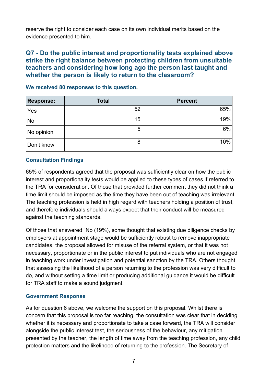reserve the right to consider each case on its own individual merits based on the evidence presented to him.

#### **Q7 - Do the public interest and proportionality tests explained above strike the right balance between protecting children from unsuitable teachers and considering how long ago the person last taught and whether the person is likely to return to the classroom?**

| <b>Response:</b> | <b>Total</b> | <b>Percent</b> |
|------------------|--------------|----------------|
| Yes              | 52           | 65%            |
| <b>No</b>        | 15           | 19%            |
| No opinion       | 5            | $6\%$          |
| Don't know       | 8            | 10%            |

**We received 80 responses to this question.** 

#### **Consultation Findings**

65% of respondents agreed that the proposal was sufficiently clear on how the public interest and proportionality tests would be applied to these types of cases if referred to the TRA for consideration. Of those that provided further comment they did not think a time limit should be imposed as the time they have been out of teaching was irrelevant. The teaching profession is held in high regard with teachers holding a position of trust, and therefore individuals should always expect that their conduct will be measured against the teaching standards.

Of those that answered "No (19%), some thought that existing due diligence checks by employers at appointment stage would be sufficiently robust to remove inappropriate candidates, the proposal allowed for misuse of the referral system, or that it was not necessary, proportionate or in the public interest to put individuals who are not engaged in teaching work under investigation and potential sanction by the TRA. Others thought that assessing the likelihood of a person returning to the profession was very difficult to do, and without setting a time limit or producing additional guidance it would be difficult for TRA staff to make a sound judgment.

#### **Government Response**

As for question 6 above, we welcome the support on this proposal. Whilst there is concern that this proposal is too far reaching, the consultation was clear that in deciding whether it is necessary and proportionate to take a case forward, the TRA will consider alongside the public interest test, the seriousness of the behaviour, any mitigation presented by the teacher, the length of time away from the teaching profession, any child protection matters and the likelihood of returning to the profession. The Secretary of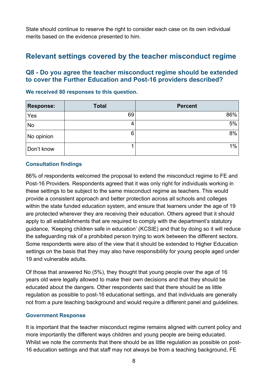State should continue to reserve the right to consider each case on its own individual merits based on the evidence presented to him.

## <span id="page-7-0"></span>**Relevant settings covered by the teacher misconduct regime**

#### **Q8 - Do you agree the teacher misconduct regime should be extended to cover the Further Education and Post-16 providers described?**

| <b>Response:</b> | <b>Total</b> | <b>Percent</b> |
|------------------|--------------|----------------|
| Yes              | 69           | 86%            |
| No               | 4            | 5%             |
| No opinion       | 6            | 8%             |
| Don't know       |              | $1\%$          |

**We received 80 responses to this question.**

#### **Consultation findings**

86% of respondents welcomed the proposal to extend the misconduct regime to FE and Post-16 Providers. Respondents agreed that it was only right for individuals working in these settings to be subject to the same misconduct regime as teachers. This would provide a consistent approach and better protection across all schools and colleges within the state funded education system, and ensure that learners under the age of 19 are protected wherever they are receiving their education. Others agreed that it should apply to all establishments that are required to comply with the department's statutory guidance, 'Keeping children safe in education' (KCSIE) and that by doing so it will reduce the safeguarding risk of a prohibited person trying to work between the different sectors. Some respondents were also of the view that it should be extended to Higher Education settings on the basis that they may also have responsibility for young people aged under 19 and vulnerable adults.

Of those that answered No (5%), they thought that young people over the age of 16 years old were legally allowed to make their own decisions and that they should be educated about the dangers. Other respondents said that there should be as little regulation as possible to post-16 educational settings, and that individuals are generally not from a pure teaching background and would require a different panel and guidelines.

#### **Government Response**

It is important that the teacher misconduct regime remains aligned with current policy and more importantly the different ways children and young people are being educated. Whilst we note the comments that there should be as little regulation as possible on post-16 education settings and that staff may not always be from a teaching background, FE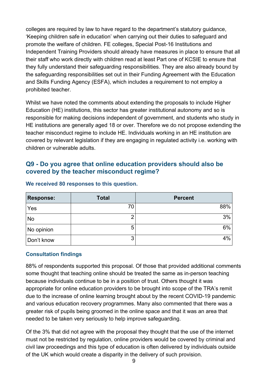colleges are required by law to have regard to the department's statutory guidance, 'Keeping children safe in education' when carrying out their duties to safeguard and promote the welfare of children. FE colleges, Special Post-16 Institutions and Independent Training Providers should already have measures in place to ensure that all their staff who work directly with children read at least Part one of KCSIE to ensure that they fully understand their safeguarding responsibilities. They are also already bound by the safeguarding responsibilities set out in their Funding Agreement with the Education and Skills Funding Agency (ESFA), which includes a requirement to not employ a prohibited teacher.

Whilst we have noted the comments about extending the proposals to include Higher Education (HE) institutions, this sector has greater institutional autonomy and so is responsible for making decisions independent of government, and students who study in HE institutions are generally aged 18 or over. Therefore we do not propose extending the teacher misconduct regime to include HE. Individuals working in an HE institution are covered by relevant legislation if they are engaging in regulated activity i.e. working with children or vulnerable adults.

#### **Q9 - Do you agree that online education providers should also be covered by the teacher misconduct regime?**

| <b>Response:</b> | <b>Total</b> | <b>Percent</b> |
|------------------|--------------|----------------|
| Yes              | 70           | 88%            |
| No               | c            | 3%             |
| No opinion       | 5            | 6%             |
| Don't know       | 3            | $4\%$          |

#### **We received 80 responses to this question.**

#### **Consultation findings**

88% of respondents supported this proposal. Of those that provided additional comments some thought that teaching online should be treated the same as in-person teaching because individuals continue to be in a position of trust. Others thought it was appropriate for online education providers to be brought into scope of the TRA's remit due to the increase of online learning brought about by the recent COVID-19 pandemic and various education recovery programmes. Many also commented that there was a greater risk of pupils being groomed in the online space and that it was an area that needed to be taken very seriously to help improve safeguarding.

Of the 3% that did not agree with the proposal they thought that the use of the internet must not be restricted by regulation, online providers would be covered by criminal and civil law proceedings and this type of education is often delivered by individuals outside of the UK which would create a disparity in the delivery of such provision.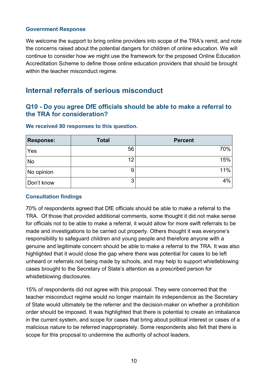#### **Government Response**

We welcome the support to bring online providers into scope of the TRA's remit, and note the concerns raised about the potential dangers for children of online education. We will continue to consider how we might use the framework for the proposed Online Education Accreditation Scheme to define those online education providers that should be brought within the teacher misconduct regime.

## <span id="page-9-0"></span>**Internal referrals of serious misconduct**

#### **Q10 - Do you agree DfE officials should be able to make a referral to the TRA for consideration?**

| <b>Response:</b> | <b>Total</b> | <b>Percent</b> |
|------------------|--------------|----------------|
| Yes              | 56           | 70%            |
| No               | 12           | 15%            |
| No opinion       | 9            | 11%            |
| Don't know       | 3            | $4\%$          |

#### **We received 80 responses to this question.**

#### **Consultation findings**

70% of respondents agreed that DfE officials should be able to make a referral to the TRA. Of those that provided additional comments, some thought it did not make sense for officials not to be able to make a referral, it would allow for more swift referrals to be made and investigations to be carried out properly. Others thought it was everyone's responsibility to safeguard children and young people and therefore anyone with a genuine and legitimate concern should be able to make a referral to the TRA. It was also highlighted that it would close the gap where there was potential for cases to be left unheard or referrals not being made by schools, and may help to support whistleblowing cases brought to the Secretary of State's attention as a prescribed person for whistleblowing disclosures.

15% of respondents did not agree with this proposal. They were concerned that the teacher misconduct regime would no longer maintain its independence as the Secretary of State would ultimately be the referrer and the decision-maker on whether a prohibition order should be imposed. It was highlighted that there is potential to create an imbalance in the current system, and scope for cases that bring about political interest or cases of a malicious nature to be referred inappropriately. Some respondents also felt that there is scope for this proposal to undermine the authority of school leaders.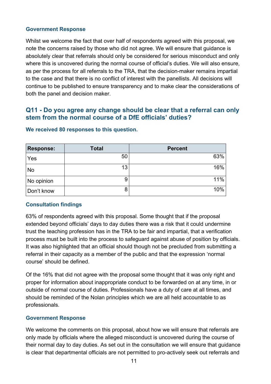#### **Government Response**

Whilst we welcome the fact that over half of respondents agreed with this proposal, we note the concerns raised by those who did not agree. We will ensure that guidance is absolutely clear that referrals should only be considered for serious misconduct and only where this is uncovered during the normal course of official's duties. We will also ensure, as per the process for all referrals to the TRA, that the decision-maker remains impartial to the case and that there is no conflict of interest with the panellists. All decisions will continue to be published to ensure transparency and to make clear the considerations of both the panel and decision maker.

#### **Q11 - Do you agree any change should be clear that a referral can only stem from the normal course of a DfE officials' duties?**

| <b>Response:</b> | <b>Total</b> | <b>Percent</b> |
|------------------|--------------|----------------|
| Yes              | 50           | 63%            |
| No               | 13           | 16%            |
| No opinion       | 9            | 11%            |
| Don't know       | 8            | 10%            |

#### **We received 80 responses to this question.**

#### **Consultation findings**

63% of respondents agreed with this proposal. Some thought that if the proposal extended beyond officials' days to day duties there was a risk that it could undermine trust the teaching profession has in the TRA to be fair and impartial, that a verification process must be built into the process to safeguard against abuse of position by officials. It was also highlighted that an official should though not be precluded from submitting a referral in their capacity as a member of the public and that the expression 'normal course' should be defined.

Of the 16% that did not agree with the proposal some thought that it was only right and proper for information about inappropriate conduct to be forwarded on at any time, in or outside of normal course of duties. Professionals have a duty of care at all times, and should be reminded of the Nolan principles which we are all held accountable to as professionals.

#### **Government Response**

We welcome the comments on this proposal, about how we will ensure that referrals are only made by officials where the alleged misconduct is uncovered during the course of their normal day to day duties. As set out in the consultation we will ensure that guidance is clear that departmental officials are not permitted to pro-actively seek out referrals and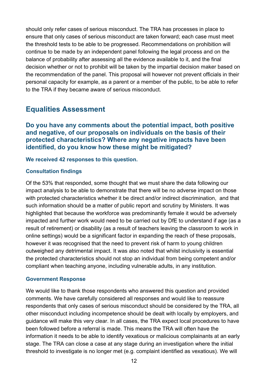should only refer cases of serious misconduct. The TRA has processes in place to ensure that only cases of serious misconduct are taken forward; each case must meet the threshold tests to be able to be progressed. Recommendations on prohibition will continue to be made by an independent panel following the legal process and on the balance of probability after assessing all the evidence available to it, and the final decision whether or not to prohibit will be taken by the impartial decision maker based on the recommendation of the panel. This proposal will however not prevent officials in their personal capacity for example, as a parent or a member of the public, to be able to refer to the TRA if they became aware of serious misconduct.

## <span id="page-11-0"></span>**Equalities Assessment**

**Do you have any comments about the potential impact, both positive and negative, of our proposals on individuals on the basis of their protected characteristics? Where any negative impacts have been identified, do you know how these might be mitigated?** 

#### **We received 42 responses to this question.**

#### **Consultation findings**

Of the 53% that responded, some thought that we must share the data following our impact analysis to be able to demonstrate that there will be no adverse impact on those with protected characteristics whether it be direct and/or indirect discrimination, and that such information should be a matter of public report and scrutiny by Ministers. It was highlighted that because the workforce was predominantly female it would be adversely impacted and further work would need to be carried out by DfE to understand if age (as a result of retirement) or disability (as a result of teachers leaving the classroom to work in online settings) would be a significant factor in expanding the reach of these proposals, however it was recognised that the need to prevent risk of harm to young children outweighed any detrimental impact. It was also noted that whilst inclusivity is essential the protected characteristics should not stop an individual from being competent and/or compliant when teaching anyone, including vulnerable adults, in any institution.

#### **Government Response**

We would like to thank those respondents who answered this question and provided comments. We have carefully considered all responses and would like to reassure respondents that only cases of serious misconduct should be considered by the TRA, all other misconduct including incompetence should be dealt with locally by employers, and guidance will make this very clear. In all cases, the TRA expect local procedures to have been followed before a referral is made. This means the TRA will often have the information it needs to be able to identify vexatious or malicious complainants at an early stage. The TRA can close a case at any stage during an investigation where the initial threshold to investigate is no longer met (e.g. complaint identified as vexatious). We will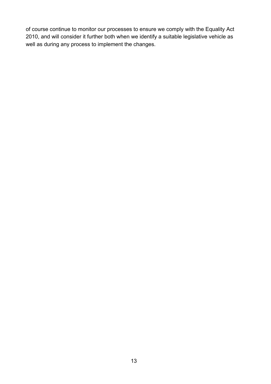of course continue to monitor our processes to ensure we comply with the Equality Act 2010, and will consider it further both when we identify a suitable legislative vehicle as well as during any process to implement the changes.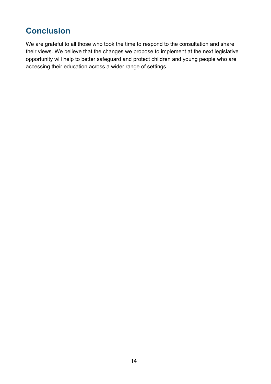# <span id="page-13-0"></span>**Conclusion**

We are grateful to all those who took the time to respond to the consultation and share their views. We believe that the changes we propose to implement at the next legislative opportunity will help to better safeguard and protect children and young people who are accessing their education across a wider range of settings.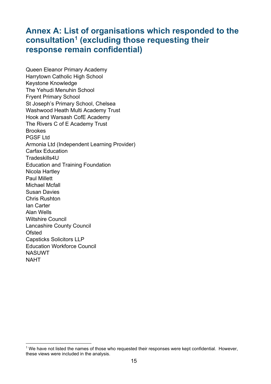## <span id="page-14-0"></span>**Annex A: List of organisations which responded to the consultation[1](#page-14-1) (excluding those requesting their response remain confidential)**

Queen Eleanor Primary Academy Harrytown Catholic High School Keystone Knowledge The Yehudi Menuhin School Fryent Primary School St Joseph's Primary School, Chelsea Washwood Heath Multi Academy Trust Hook and Warsash CofE Academy The Rivers C of E Academy Trust Brookes PGSF Ltd Armonia Ltd (Independent Learning Provider) Carfax Education Tradeskills4U Education and Training Foundation Nicola Hartley Paul Millett Michael Mcfall Susan Davies Chris Rushton Ian Carter Alan Wells Wiltshire Council Lancashire County Council **Ofsted** Capsticks Solicitors LLP Education Workforce Council NASUWT NAHT

<span id="page-14-1"></span> $1$  We have not listed the names of those who requested their responses were kept confidential. However, these views were included in the analysis.